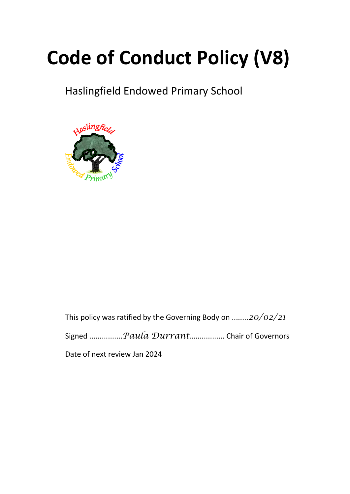# **Code of Conduct Policy (V8)**

# Haslingfield Endowed Primary School



This policy was ratified by the Governing Body on ........*20/02/21*

Signed ................*Paula Durrant*................. Chair of Governors

Date of next review Jan 2024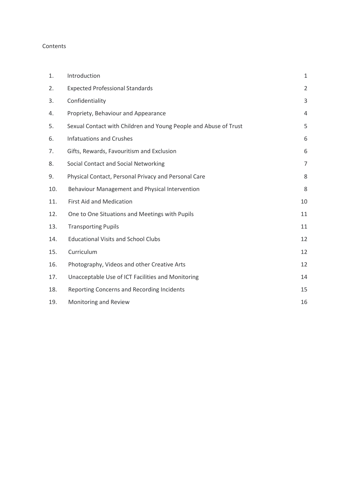#### Contents

| 1.  | Introduction                                                     | $\mathbf{1}$   |
|-----|------------------------------------------------------------------|----------------|
| 2.  | <b>Expected Professional Standards</b>                           | $\overline{2}$ |
| 3.  | Confidentiality                                                  | 3              |
| 4.  | Propriety, Behaviour and Appearance                              | 4              |
| 5.  | Sexual Contact with Children and Young People and Abuse of Trust | 5              |
| 6.  | <b>Infatuations and Crushes</b>                                  | 6              |
| 7.  | Gifts, Rewards, Favouritism and Exclusion                        | 6              |
| 8.  | Social Contact and Social Networking                             | $\overline{7}$ |
| 9.  | Physical Contact, Personal Privacy and Personal Care             | 8              |
| 10. | Behaviour Management and Physical Intervention                   | 8              |
| 11. | <b>First Aid and Medication</b>                                  | 10             |
| 12. | One to One Situations and Meetings with Pupils                   | 11             |
| 13. | <b>Transporting Pupils</b>                                       | 11             |
| 14. | <b>Educational Visits and School Clubs</b>                       | 12             |
| 15. | Curriculum                                                       | 12             |
| 16. | Photography, Videos and other Creative Arts                      | 12             |
| 17. | Unacceptable Use of ICT Facilities and Monitoring                | 14             |
| 18. | Reporting Concerns and Recording Incidents                       | 15             |
| 19. | Monitoring and Review                                            | 16             |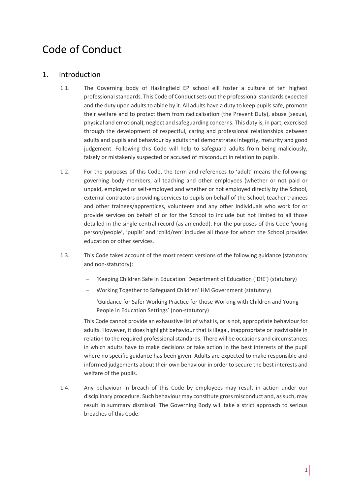# Code of Conduct

# 1. Introduction

- 1.1. The Governing body of Haslingfield EP school eill foster a culture of teh highest professional standards. This Code of Conduct sets out the professional standards expected and the duty upon adults to abide by it. All adults have a duty to keep pupils safe, promote their welfare and to protect them from radicalisation (the Prevent Duty), abuse (sexual, physical and emotional), neglect and safeguarding concerns. This duty is, in part, exercised through the development of respectful, caring and professional relationships between adults and pupils and behaviour by adults that demonstrates integrity, maturity and good judgement. Following this Code will help to safeguard adults from being maliciously, falsely or mistakenly suspected or accused of misconduct in relation to pupils.
- 1.2. For the purposes of this Code, the term and references to 'adult' means the following: governing body members, all teaching and other employees (whether or not paid or unpaid, employed or self-employed and whether or not employed directly by the School, external contractors providing services to pupils on behalf of the School, teacher trainees and other trainees/apprentices, volunteers and any other individuals who work for or provide services on behalf of or for the School to include but not limited to all those detailed in the single central record (as amended). For the purposes of this Code 'young person/people', 'pupils' and 'child/ren' includes all those for whom the School provides education or other services.
- 1.3. This Code takes account of the most recent versions of the following guidance (statutory and non-statutory):
	- 'Keeping Children Safe in Education' Department of Education ('DfE') (statutory)
	- Working Together to Safeguard Children' HM Government (statutory)
	- 'Guidance for Safer Working Practice for those Working with Children and Young People in Education Settings' (non-statutory)

This Code cannot provide an exhaustive list of what is, or is not, appropriate behaviour for adults. However, it does highlight behaviour that is illegal, inappropriate or inadvisable in relation to the required professional standards. There will be occasions and circumstances in which adults have to make decisions or take action in the best interests of the pupil where no specific guidance has been given. Adults are expected to make responsible and informed judgements about their own behaviour in order to secure the best interests and welfare of the pupils.

1.4. Any behaviour in breach of this Code by employees may result in action under our disciplinary procedure. Such behaviour may constitute gross misconduct and, as such, may result in summary dismissal. The Governing Body will take a strict approach to serious breaches of this Code.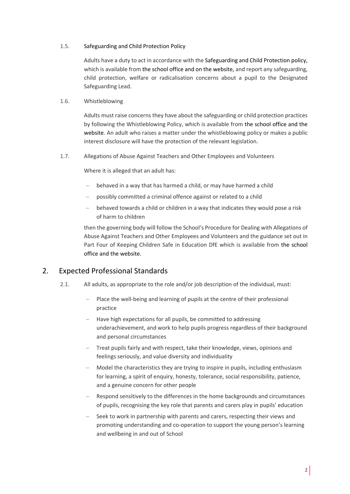#### 1.5. Safeguarding and Child Protection Policy

Adults have a duty to act in accordance with the Safeguarding and Child Protection policy, which is available from the school office and on the website, and report any safeguarding, child protection, welfare or radicalisation concerns about a pupil to the Designated Safeguarding Lead.

#### 1.6. Whistleblowing

Adults must raise concerns they have about the safeguarding or child protection practices by following the Whistleblowing Policy, which is available from the school office and the website*.* An adult who raises a matter under the whistleblowing policy or makes a public interest disclosure will have the protection of the relevant legislation.

1.7. Allegations of Abuse Against Teachers and Other Employees and Volunteers

Where it is alleged that an adult has:

- behaved in a way that has harmed a child, or may have harmed a child
- possibly committed a criminal offence against or related to a child
- behaved towards a child or children in a way that indicates they would pose a risk of harm to children

then the governing body will follow the School's Procedure for Dealing with Allegations of Abuse Against Teachers and Other Employees and Volunteers and the guidance set out in Part Four of Keeping Children Safe in Education DfE which is available from the school office and the website.

### 2. Expected Professional Standards

- 2.1. All adults, as appropriate to the role and/or job description of the individual, must:
	- Place the well-being and learning of pupils at the centre of their professional practice
	- Have high expectations for all pupils, be committed to addressing underachievement, and work to help pupils progress regardless of their background and personal circumstances
	- Treat pupils fairly and with respect, take their knowledge, views, opinions and feelings seriously, and value diversity and individuality
	- Model the characteristics they are trying to inspire in pupils, including enthusiasm for learning, a spirit of enquiry, honesty, tolerance, social responsibility, patience, and a genuine concern for other people
	- Respond sensitively to the differences in the home backgrounds and circumstances of pupils, recognising the key role that parents and carers play in pupils' education
	- Seek to work in partnership with parents and carers, respecting their views and promoting understanding and co-operation to support the young person's learning and wellbeing in and out of School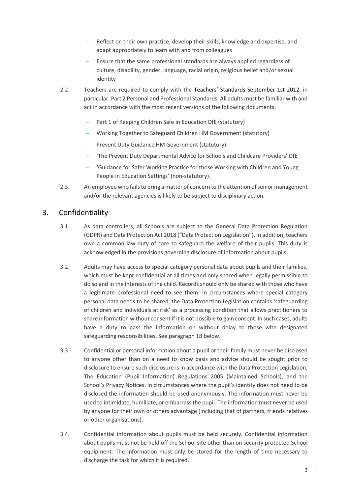- Reflect on their own practice, develop their skills, knowledge and expertise, and adapt appropriately to learn with and from colleagues
- Ensure that the same professional standards are always applied regardless of culture, disability, gender, language, racial origin, religious belief and/or sexual identity
- 2.2. Teachers are required to comply with the Teachers' [Standards September 1st 2012,](https://www.gov.uk/government/uploads/system/uploads/attachment_data/file/301107/Teachers__Standards.pdf) in particular, Part 2 Personal and Professional Standards. All adults must be familiar with and act in accordance with the most recent versions of the following documents:
	- Part 1 of Keeping Children Safe in Education DfE (statutory)
	- Working Together to Safeguard Children HM Government (statutory)
	- Prevent Duty Guidance HM Government (statutory)
	- 'The Prevent Duty Departmental Advice for Schools and Childcare Providers' DfE
	- 'Guidance for Safer Working Practice for those Working with Children and Young People in Education Settings' (non-statutory).
- 2.3. An employee who fails to bring a matter of concern to the attention of senior management and/or the relevant agencies is likely to be subject to disciplinary action.

#### 3. Confidentiality

- 3.1. As data controllers, all Schools are subject to the General Data Protection Regulation (GDPR) and Data Protection Act 2018 ("Data Protection Legislation"). In addition, teachers owe a common law duty of care to safeguard the welfare of their pupils. This duty is acknowledged in the provisions governing disclosure of information about pupils.
- 3.2. Adults may have access to special category personal data about pupils and their families, which must be kept confidential at all times and only shared when legally permissible to do so and in the interests of the child. Records should only be shared with those who have a legitimate professional need to see them. In circumstances where special category personal data needs to be shared, the Data Protection Legislation contains 'safeguarding of children and individuals at risk' as a processing condition that allows practitioners to share information without consent if it is not possible to gain consent. In such cases, adults have a duty to pass the information on without delay to those with designated safeguarding responsibilities. See paragraph 18 below.
- 3.3. Confidential or personal information about a pupil or their family must never be disclosed to anyone other than on a need to know basis and advice should be sought prior to disclosure to ensure such disclosure is in accordance with the Data Protection Legislation, The Education (Pupil Information) Regulations 2005 (Maintained Schools), and the School's Privacy Notices. In circumstances where the pupil's identity does not need to be disclosed the information should be used anonymously. The information must never be used to intimidate, humiliate, or embarrass the pupil. The information must never be used by anyone for their own or others advantage (including that of partners, friends relatives or other organisations).
- 3.4. Confidential information about pupils must be held securely. Confidential information about pupils must not be held off the School site other than on security protected School equipment. The information must only be stored for the length of time necessary to discharge the task for which it is required.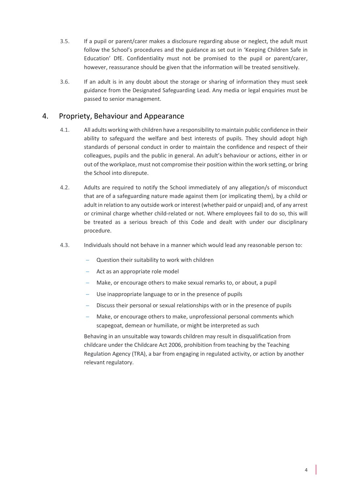- 3.5. If a pupil or parent/carer makes a disclosure regarding abuse or neglect, the adult must follow the School's procedures and the guidance as set out in 'Keeping Children Safe in Education' DfE. Confidentiality must not be promised to the pupil or parent/carer, however, reassurance should be given that the information will be treated sensitively.
- 3.6. If an adult is in any doubt about the storage or sharing of information they must seek guidance from the Designated Safeguarding Lead. Any media or legal enquiries must be passed to senior management.

# 4. Propriety, Behaviour and Appearance

- 4.1. All adults working with children have a responsibility to maintain public confidence in their ability to safeguard the welfare and best interests of pupils. They should adopt high standards of personal conduct in order to maintain the confidence and respect of their colleagues, pupils and the public in general. An adult's behaviour or actions, either in or out of the workplace, must not compromise their position within the work setting, or bring the School into disrepute.
- 4.2. Adults are required to notify the School immediately of any allegation/s of misconduct that are of a safeguarding nature made against them (or implicating them), by a child or adult in relation to any outside work or interest (whether paid or unpaid) and, of any arrest or criminal charge whether child-related or not. Where employees fail to do so, this will be treated as a serious breach of this Code and dealt with under our disciplinary procedure.
- 4.3. Individuals should not behave in a manner which would lead any reasonable person to:
	- Question their suitability to work with children
	- Act as an appropriate role model
	- Make, or encourage others to make sexual remarks to, or about, a pupil
	- Use inappropriate language to or in the presence of pupils
	- Discuss their personal or sexual relationships with or in the presence of pupils
	- Make, or encourage others to make, unprofessional personal comments which scapegoat, demean or humiliate, or might be interpreted as such

Behaving in an unsuitable way towards children may result in disqualification from childcare under the Childcare Act 2006, prohibition from teaching by the Teaching Regulation Agency (TRA), a bar from engaging in regulated activity, or action by another relevant regulatory.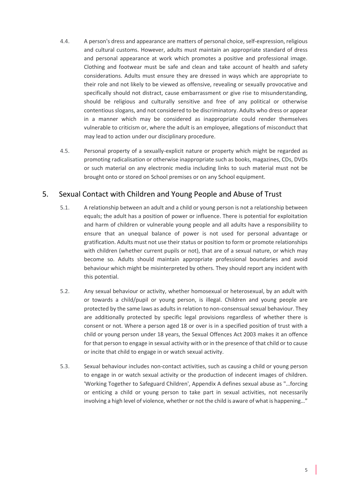- 4.4. A person's dress and appearance are matters of personal choice, self-expression, religious and cultural customs. However, adults must maintain an appropriate standard of dress and personal appearance at work which promotes a positive and professional image. Clothing and footwear must be safe and clean and take account of health and safety considerations. Adults must ensure they are dressed in ways which are appropriate to their role and not likely to be viewed as offensive, revealing or sexually provocative and specifically should not distract, cause embarrassment or give rise to misunderstanding, should be religious and culturally sensitive and free of any political or otherwise contentious slogans, and not considered to be discriminatory. Adults who dress or appear in a manner which may be considered as inappropriate could render themselves vulnerable to criticism or, where the adult is an employee, allegations of misconduct that may lead to action under our disciplinary procedure.
- 4.5. Personal property of a sexually-explicit nature or property which might be regarded as promoting radicalisation or otherwise inappropriate such as books, magazines, CDs, DVDs or such material on any electronic media including links to such material must not be brought onto or stored on School premises or on any School equipment.

# 5. Sexual Contact with Children and Young People and Abuse of Trust

- 5.1. A relationship between an adult and a child or young person is not a relationship between equals; the adult has a position of power or influence. There is potential for exploitation and harm of children or vulnerable young people and all adults have a responsibility to ensure that an unequal balance of power is not used for personal advantage or gratification. Adults must not use their status or position to form or promote relationships with children (whether current pupils or not), that are of a sexual nature, or which may become so. Adults should maintain appropriate professional boundaries and avoid behaviour which might be misinterpreted by others. They should report any incident with this potential.
- 5.2. Any sexual behaviour or activity, whether homosexual or heterosexual, by an adult with or towards a child/pupil or young person, is illegal. Children and young people are protected by the same laws as adults in relation to non-consensual sexual behaviour. They are additionally protected by specific legal provisions regardless of whether there is consent or not. Where a person aged 18 or over is in a specified position of trust with a child or young person under 18 years, the Sexual Offences Act 2003 makes it an offence for that person to engage in sexual activity with or in the presence of that child or to cause or incite that child to engage in or watch sexual activity.
- 5.3. Sexual behaviour includes non-contact activities, such as causing a child or young person to engage in or watch sexual activity or the production of indecent images of children. 'Working Together to Safeguard Children', Appendix A defines sexual abuse as "…forcing or enticing a child or young person to take part in sexual activities, not necessarily involving a high level of violence, whether or not the child is aware of what is happening…"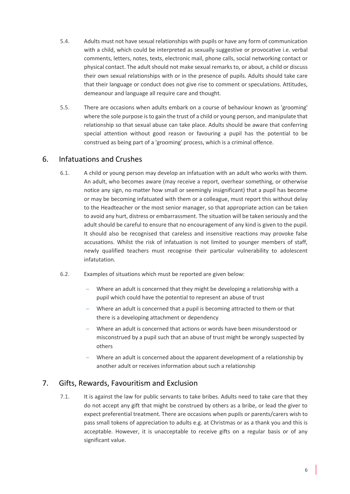- 5.4. Adults must not have sexual relationships with pupils or have any form of communication with a child, which could be interpreted as sexually suggestive or provocative i.e. verbal comments, letters, notes, texts, electronic mail, phone calls, social networking contact or physical contact. The adult should not make sexual remarks to, or about, a child or discuss their own sexual relationships with or in the presence of pupils. Adults should take care that their language or conduct does not give rise to comment or speculations. Attitudes, demeanour and language all require care and thought.
- 5.5. There are occasions when adults embark on a course of behaviour known as 'grooming' where the sole purpose is to gain the trust of a child or young person, and manipulate that relationship so that sexual abuse can take place. Adults should be aware that conferring special attention without good reason or favouring a pupil has the potential to be construed as being part of a 'grooming' process, which is a criminal offence.

### 6. Infatuations and Crushes

- 6.1. A child or young person may develop an infatuation with an adult who works with them. An adult, who becomes aware (may receive a report, overhear something, or otherwise notice any sign, no matter how small or seemingly insignificant) that a pupil has become or may be becoming infatuated with them or a colleague, must report this without delay to the Headteacher or the most senior manager, so that appropriate action can be taken to avoid any hurt, distress or embarrassment. The situation will be taken seriously and the adult should be careful to ensure that no encouragement of any kind is given to the pupil. It should also be recognised that careless and insensitive reactions may provoke false accusations. Whilst the risk of infatuation is not limited to younger members of staff, newly qualified teachers must recognise their particular vulnerability to adolescent infatutation.
- 6.2. Examples of situations which must be reported are given below:
	- Where an adult is concerned that they might be developing a relationship with a pupil which could have the potential to represent an abuse of trust
	- Where an adult is concerned that a pupil is becoming attracted to them or that there is a developing attachment or dependency
	- Where an adult is concerned that actions or words have been misunderstood or misconstrued by a pupil such that an abuse of trust might be wrongly suspected by others
	- Where an adult is concerned about the apparent development of a relationship by another adult or receives information about such a relationship

### 7. Gifts, Rewards, Favouritism and Exclusion

7.1. It is against the law for public servants to take bribes. Adults need to take care that they do not accept any gift that might be construed by others as a bribe, or lead the giver to expect preferential treatment. There are occasions when pupils or parents/carers wish to pass small tokens of appreciation to adults e.g. at Christmas or as a thank you and this is acceptable. However, it is unacceptable to receive gifts on a regular basis or of any significant value.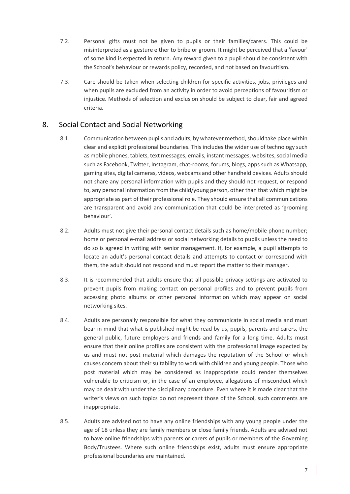- 7.2. Personal gifts must not be given to pupils or their families/carers. This could be misinterpreted as a gesture either to bribe or groom. It might be perceived that a 'favour' of some kind is expected in return. Any reward given to a pupil should be consistent with the School's behaviour or rewards policy, recorded, and not based on favouritism.
- 7.3. Care should be taken when selecting children for specific activities, jobs, privileges and when pupils are excluded from an activity in order to avoid perceptions of favouritism or injustice. Methods of selection and exclusion should be subject to clear, fair and agreed criteria.

#### 8. Social Contact and Social Networking

- 8.1. Communication between pupils and adults, by whatever method, should take place within clear and explicit professional boundaries. This includes the wider use of technology such as mobile phones, tablets, text messages, emails, instant messages, websites, social media such as Facebook, Twitter, Instagram, chat-rooms, forums, blogs, apps such as Whatsapp, gaming sites, digital cameras, videos, webcams and other handheld devices. Adults should not share any personal information with pupils and they should not request, or respond to, any personal information from the child/young person, other than that which might be appropriate as part of their professional role. They should ensure that all communications are transparent and avoid any communication that could be interpreted as 'grooming behaviour'.
- 8.2. Adults must not give their personal contact details such as home/mobile phone number; home or personal e-mail address or social networking details to pupils unless the need to do so is agreed in writing with senior management. If, for example, a pupil attempts to locate an adult's personal contact details and attempts to contact or correspond with them, the adult should not respond and must report the matter to their manager.
- 8.3. It is recommended that adults ensure that all possible privacy settings are activated to prevent pupils from making contact on personal profiles and to prevent pupils from accessing photo albums or other personal information which may appear on social networking sites.
- 8.4. Adults are personally responsible for what they communicate in social media and must bear in mind that what is published might be read by us, pupils, parents and carers, the general public, future employers and friends and family for a long time. Adults must ensure that their online profiles are consistent with the professional image expected by us and must not post material which damages the reputation of the School or which causes concern about their suitability to work with children and young people. Those who post material which may be considered as inappropriate could render themselves vulnerable to criticism or, in the case of an employee, allegations of misconduct which may be dealt with under the disciplinary procedure. Even where it is made clear that the writer's views on such topics do not represent those of the School, such comments are inappropriate.
- 8.5. Adults are advised not to have any online friendships with any young people under the age of 18 unless they are family members or close family friends. Adults are advised not to have online friendships with parents or carers of pupils or members of the Governing Body/Trustees. Where such online friendships exist, adults must ensure appropriate professional boundaries are maintained.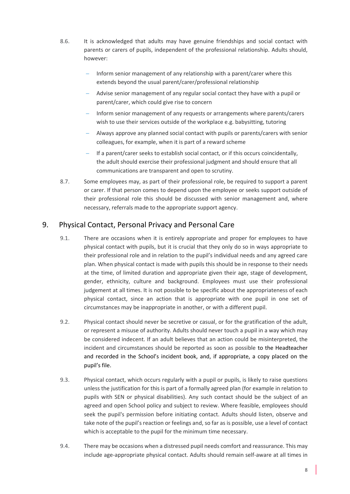- 8.6. It is acknowledged that adults may have genuine friendships and social contact with parents or carers of pupils, independent of the professional relationship. Adults should, however:
	- Inform senior management of any relationship with a parent/carer where this extends beyond the usual parent/carer/professional relationship
	- Advise senior management of any regular social contact they have with a pupil or parent/carer, which could give rise to concern
	- Inform senior management of any requests or arrangements where parents/carers wish to use their services outside of the workplace e.g. babysitting, tutoring
	- Always approve any planned social contact with pupils or parents/carers with senior colleagues, for example, when it is part of a reward scheme
	- $-I$  If a parent/carer seeks to establish social contact, or if this occurs coincidentally, the adult should exercise their professional judgment and should ensure that all communications are transparent and open to scrutiny.
- 8.7. Some employees may, as part of their professional role, be required to support a parent or carer. If that person comes to depend upon the employee or seeks support outside of their professional role this should be discussed with senior management and, where necessary, referrals made to the appropriate support agency.

# 9. Physical Contact, Personal Privacy and Personal Care

- 9.1. There are occasions when it is entirely appropriate and proper for employees to have physical contact with pupils, but it is crucial that they only do so in ways appropriate to their professional role and in relation to the pupil's individual needs and any agreed care plan. When physical contact is made with pupils this should be in response to their needs at the time, of limited duration and appropriate given their age, stage of development, gender, ethnicity, culture and background. Employees must use their professional judgement at all times. It is not possible to be specific about the appropriateness of each physical contact, since an action that is appropriate with one pupil in one set of circumstances may be inappropriate in another, or with a different pupil.
- 9.2. Physical contact should never be secretive or casual, or for the gratification of the adult, or represent a misuse of authority. Adults should never touch a pupil in a way which may be considered indecent. If an adult believes that an action could be misinterpreted, the incident and circumstances should be reported as soon as possible to the Headteacher and recorded in the School's incident book, and, if appropriate, a copy placed on the pupil's file.
- 9.3. Physical contact, which occurs regularly with a pupil or pupils, is likely to raise questions unless the justification for this is part of a formally agreed plan (for example in relation to pupils with SEN or physical disabilities). Any such contact should be the subject of an agreed and open School policy and subject to review. Where feasible, employees should seek the pupil's permission before initiating contact. Adults should listen, observe and take note of the pupil's reaction or feelings and, so far as is possible, use a level of contact which is acceptable to the pupil for the minimum time necessary.
- 9.4. There may be occasions when a distressed pupil needs comfort and reassurance. This may include age-appropriate physical contact. Adults should remain self-aware at all times in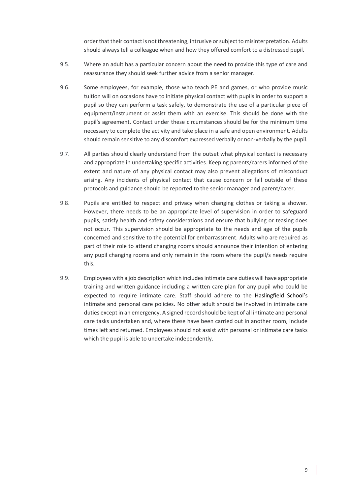order that their contact is not threatening, intrusive or subject to misinterpretation. Adults should always tell a colleague when and how they offered comfort to a distressed pupil.

- 9.5. Where an adult has a particular concern about the need to provide this type of care and reassurance they should seek further advice from a senior manager.
- 9.6. Some employees, for example, those who teach PE and games, or who provide music tuition will on occasions have to initiate physical contact with pupils in order to support a pupil so they can perform a task safely, to demonstrate the use of a particular piece of equipment/instrument or assist them with an exercise. This should be done with the pupil's agreement. Contact under these circumstances should be for the minimum time necessary to complete the activity and take place in a safe and open environment. Adults should remain sensitive to any discomfort expressed verbally or non-verbally by the pupil.
- 9.7. All parties should clearly understand from the outset what physical contact is necessary and appropriate in undertaking specific activities. Keeping parents/carers informed of the extent and nature of any physical contact may also prevent allegations of misconduct arising. Any incidents of physical contact that cause concern or fall outside of these protocols and guidance should be reported to the senior manager and parent/carer.
- 9.8. Pupils are entitled to respect and privacy when changing clothes or taking a shower. However, there needs to be an appropriate level of supervision in order to safeguard pupils, satisfy health and safety considerations and ensure that bullying or teasing does not occur. This supervision should be appropriate to the needs and age of the pupils concerned and sensitive to the potential for embarrassment. Adults who are required as part of their role to attend changing rooms should announce their intention of entering any pupil changing rooms and only remain in the room where the pupil/s needs require this.
- 9.9. Employees with a job description which includes intimate care duties will have appropriate training and written guidance including a written care plan for any pupil who could be expected to require intimate care. Staff should adhere to the Haslingfield School's intimate and personal care policies. No other adult should be involved in intimate care duties except in an emergency. A signed record should be kept of all intimate and personal care tasks undertaken and, where these have been carried out in another room, include times left and returned. Employees should not assist with personal or intimate care tasks which the pupil is able to undertake independently.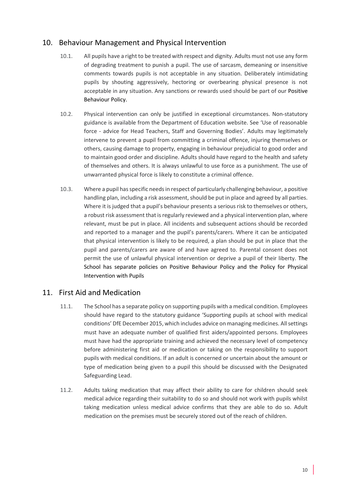# 10. Behaviour Management and Physical Intervention

- 10.1. All pupils have a right to be treated with respect and dignity. Adults must not use any form of degrading treatment to punish a pupil. The use of sarcasm, demeaning or insensitive comments towards pupils is not acceptable in any situation. Deliberately intimidating pupils by shouting aggressively, hectoring or overbearing physical presence is not acceptable in any situation. Any sanctions or rewards used should be part of our Positive Behaviour Policy.
- 10.2. Physical intervention can only be justified in exceptional circumstances. Non-statutory guidance is available from the Department of Education website. See 'Use of reasonable force - advice for Head Teachers, Staff and Governing Bodies'. Adults may legitimately intervene to prevent a pupil from committing a criminal offence, injuring themselves or others, causing damage to property, engaging in behaviour prejudicial to good order and to maintain good order and discipline. Adults should have regard to the health and safety of themselves and others. It is always unlawful to use force as a punishment. The use of unwarranted physical force is likely to constitute a criminal offence.
- 10.3. Where a pupil has specific needs in respect of particularly challenging behaviour, a positive handling plan, including a risk assessment, should be put in place and agreed by all parties. Where it is judged that a pupil's behaviour presents a serious risk to themselves or others, a robust risk assessment that is regularly reviewed and a physical intervention plan, where relevant, must be put in place. All incidents and subsequent actions should be recorded and reported to a manager and the pupil's parents/carers. Where it can be anticipated that physical intervention is likely to be required, a plan should be put in place that the pupil and parents/carers are aware of and have agreed to. Parental consent does not permit the use of unlawful physical intervention or deprive a pupil of their liberty. The School has separate policies on Positive Behaviour Policy and the Policy for Physical Intervention with Pupils

### 11. First Aid and Medication

- 11.1. The School has a separate policy on supporting pupils with a medical condition. Employees should have regard to the statutory guidance 'Supporting pupils at school with medical conditions' DfE December 2015, which includes advice on managing medicines. All settings must have an adequate number of qualified first aiders/appointed persons. Employees must have had the appropriate training and achieved the necessary level of competency before administering first aid or medication or taking on the responsibility to support pupils with medical conditions. If an adult is concerned or uncertain about the amount or type of medication being given to a pupil this should be discussed with the Designated Safeguarding Lead.
- 11.2. Adults taking medication that may affect their ability to care for children should seek medical advice regarding their suitability to do so and should not work with pupils whilst taking medication unless medical advice confirms that they are able to do so. Adult medication on the premises must be securely stored out of the reach of children.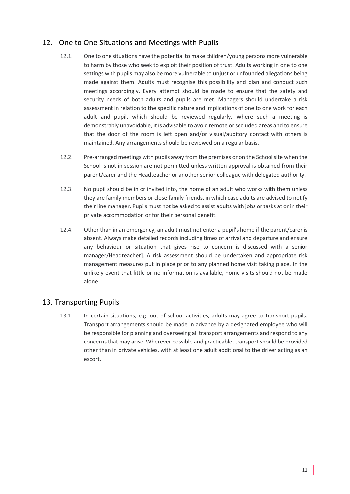# 12. One to One Situations and Meetings with Pupils

- 12.1. One to one situations have the potential to make children/young persons more vulnerable to harm by those who seek to exploit their position of trust. Adults working in one to one settings with pupils may also be more vulnerable to unjust or unfounded allegations being made against them. Adults must recognise this possibility and plan and conduct such meetings accordingly. Every attempt should be made to ensure that the safety and security needs of both adults and pupils are met. Managers should undertake a risk assessment in relation to the specific nature and implications of one to one work for each adult and pupil, which should be reviewed regularly. Where such a meeting is demonstrably unavoidable, it is advisable to avoid remote or secluded areas and to ensure that the door of the room is left open and/or visual/auditory contact with others is maintained. Any arrangements should be reviewed on a regular basis.
- 12.2. Pre-arranged meetings with pupils away from the premises or on the School site when the School is not in session are not permitted unless written approval is obtained from their parent/carer and the Headteacher or another senior colleague with delegated authority.
- 12.3. No pupil should be in or invited into, the home of an adult who works with them unless they are family members or close family friends, in which case adults are advised to notify their line manager. Pupils must not be asked to assist adults with jobs or tasks at or in their private accommodation or for their personal benefit.
- 12.4. Other than in an emergency, an adult must not enter a pupil's home if the parent/carer is absent. Always make detailed records including times of arrival and departure and ensure any behaviour or situation that gives rise to concern is discussed with a senior manager/Headteacher]. A risk assessment should be undertaken and appropriate risk management measures put in place prior to any planned home visit taking place. In the unlikely event that little or no information is available, home visits should not be made alone.

# 13. Transporting Pupils

13.1. In certain situations, e.g. out of school activities, adults may agree to transport pupils. Transport arrangements should be made in advance by a designated employee who will be responsible for planning and overseeing all transport arrangements and respond to any concerns that may arise. Wherever possible and practicable, transport should be provided other than in private vehicles, with at least one adult additional to the driver acting as an escort.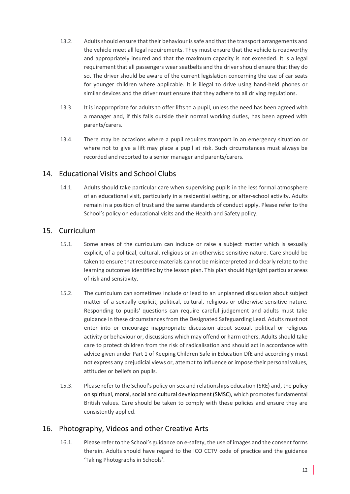- 13.2. Adults should ensure that their behaviour is safe and that the transport arrangements and the vehicle meet all legal requirements. They must ensure that the vehicle is roadworthy and appropriately insured and that the maximum capacity is not exceeded. It is a legal requirement that all passengers wear seatbelts and the driver should ensure that they do so. The driver should be aware of the current legislation concerning the use of car seats for younger children where applicable. It is illegal to drive using hand-held phones or similar devices and the driver must ensure that they adhere to all driving regulations.
- 13.3. It is inappropriate for adults to offer lifts to a pupil, unless the need has been agreed with a manager and, if this falls outside their normal working duties, has been agreed with parents/carers.
- 13.4. There may be occasions where a pupil requires transport in an emergency situation or where not to give a lift may place a pupil at risk. Such circumstances must always be recorded and reported to a senior manager and parents/carers.

### 14. Educational Visits and School Clubs

14.1. Adults should take particular care when supervising pupils in the less formal atmosphere of an educational visit, particularly in a residential setting, or after-school activity. Adults remain in a position of trust and the same standards of conduct apply. Please refer to the School's policy on educational visits and the Health and Safety policy.

### 15. Curriculum

- 15.1. Some areas of the curriculum can include or raise a subject matter which is sexually explicit, of a political, cultural, religious or an otherwise sensitive nature. Care should be taken to ensure that resource materials cannot be misinterpreted and clearly relate to the learning outcomes identified by the lesson plan. This plan should highlight particular areas of risk and sensitivity.
- 15.2. The curriculum can sometimes include or lead to an unplanned discussion about subject matter of a sexually explicit, political, cultural, religious or otherwise sensitive nature. Responding to pupils' questions can require careful judgement and adults must take guidance in these circumstances from the Designated Safeguarding Lead. Adults must not enter into or encourage inappropriate discussion about sexual, political or religious activity or behaviour or, discussions which may offend or harm others. Adults should take care to protect children from the risk of radicalisation and should act in accordance with advice given under Part 1 of Keeping Children Safe in Education DfE and accordingly must not express any prejudicial views or, attempt to influence or impose their personal values, attitudes or beliefs on pupils.
- 15.3. Please refer to the School's policy on sex and relationships education (SRE) and, the policy on spiritual, moral, social and cultural development (SMSC), which promotes fundamental British values. Care should be taken to comply with these policies and ensure they are consistently applied.

### 16. Photography, Videos and other Creative Arts

16.1. Please refer to the School's guidance on e-safety, the use of images and the consent forms therein. Adults should have regard to the ICO CCTV code of practice and the guidance 'Taking Photographs in Schools'.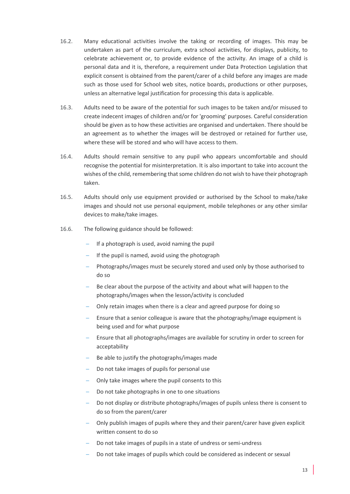- 16.2. Many educational activities involve the taking or recording of images. This may be undertaken as part of the curriculum, extra school activities, for displays, publicity, to celebrate achievement or, to provide evidence of the activity. An image of a child is personal data and it is, therefore, a requirement under Data Protection Legislation that explicit consent is obtained from the parent/carer of a child before any images are made such as those used for School web sites, notice boards, productions or other purposes, unless an alternative legal justification for processing this data is applicable.
- 16.3. Adults need to be aware of the potential for such images to be taken and/or misused to create indecent images of children and/or for 'grooming' purposes. Careful consideration should be given as to how these activities are organised and undertaken. There should be an agreement as to whether the images will be destroyed or retained for further use, where these will be stored and who will have access to them.
- 16.4. Adults should remain sensitive to any pupil who appears uncomfortable and should recognise the potential for misinterpretation. It is also important to take into account the wishes of the child, remembering that some children do not wish to have their photograph taken.
- 16.5. Adults should only use equipment provided or authorised by the School to make/take images and should not use personal equipment, mobile telephones or any other similar devices to make/take images.
- 16.6. The following guidance should be followed:
	- If a photograph is used, avoid naming the pupil
	- If the pupil is named, avoid using the photograph
	- Photographs/images must be securely stored and used only by those authorised to do so
	- Be clear about the purpose of the activity and about what will happen to the photographs/images when the lesson/activity is concluded
	- Only retain images when there is a clear and agreed purpose for doing so
	- Ensure that a senior colleague is aware that the photography/image equipment is being used and for what purpose
	- Ensure that all photographs/images are available for scrutiny in order to screen for acceptability
	- Be able to justify the photographs/images made
	- Do not take images of pupils for personal use
	- Only take images where the pupil consents to this
	- Do not take photographs in one to one situations
	- Do not display or distribute photographs/images of pupils unless there is consent to do so from the parent/carer
	- Only publish images of pupils where they and their parent/carer have given explicit written consent to do so
	- Do not take images of pupils in a state of undress or semi-undress
	- Do not take images of pupils which could be considered as indecent or sexual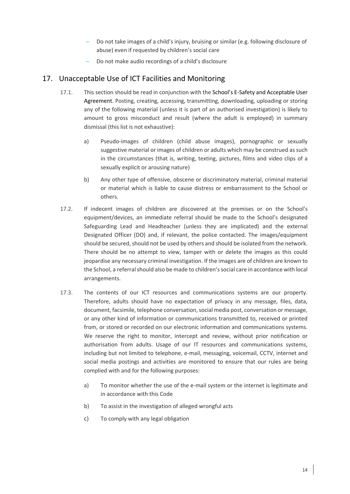- Do not take images of a child's injury, bruising or similar (e.g. following disclosure of abuse) even if requested by children's social care
- Do not make audio recordings of a child's disclosure

# 17. Unacceptable Use of ICT Facilities and Monitoring

- 17.1. This section should be read in conjunction with the School's E-Safety and Acceptable User Agreement. Posting, creating, accessing, transmitting, downloading, uploading or storing any of the following material (unless it is part of an authorised investigation) is likely to amount to gross misconduct and result (where the adult is employed) in summary dismissal (this list is not exhaustive):
	- a) Pseudo-images of children (child abuse images), pornographic or sexually suggestive material or images of children or adults which may be construed as such in the circumstances (that is, writing, texting, pictures, films and video clips of a sexually explicit or arousing nature)
	- b) Any other type of offensive, obscene or discriminatory material, criminal material or material which is liable to cause distress or embarrassment to the School or others.
- 17.2. If indecent images of children are discovered at the premises or on the School's equipment/devices, an immediate referral should be made to the School's designated Safeguarding Lead and Headteacher (unless they are implicated) and the external Designated Officer (DO) and, if relevant, the police contacted. The images/equipment should be secured, should not be used by others and should be isolated from the network. There should be no attempt to view, tamper with or delete the images as this could jeopardise any necessary criminal investigation. If the images are of children are known to the School, a referral should also be made to children's social care in accordance with local arrangements.
- 17.3. The contents of our ICT resources and communications systems are our property. Therefore, adults should have no expectation of privacy in any message, files, data, document, facsimile, telephone conversation, social media post, conversation or message, or any other kind of information or communications transmitted to, received or printed from, or stored or recorded on our electronic information and communications systems. We reserve the right to monitor, intercept and review, without prior notification or authorisation from adults. Usage of our IT resources and communications systems, including but not limited to telephone, e-mail, messaging, voicemail, CCTV, internet and social media postings and activities are monitored to ensure that our rules are being complied with and for the following purposes:
	- a) To monitor whether the use of the e-mail system or the internet is legitimate and in accordance with this Code
	- b) To assist in the investigation of alleged wrongful acts
	- c) To comply with any legal obligation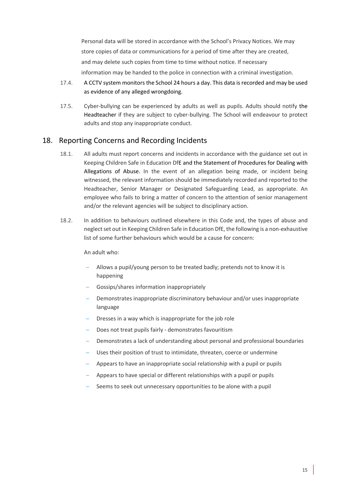Personal data will be stored in accordance with the School's Privacy Notices. We may store copies of data or communications for a period of time after they are created, and may delete such copies from time to time without notice. If necessary information may be handed to the police in connection with a criminal investigation.

- 17.4. A CCTV system monitors the School 24 hours a day. This data is recorded and may be used as evidence of any alleged wrongdoing.
- 17.5. Cyber-bullying can be experienced by adults as well as pupils. Adults should notify the Headteacher if they are subject to cyber-bullying. The School will endeavour to protect adults and stop any inappropriate conduct.

#### 18. Reporting Concerns and Recording Incidents

- 18.1. All adults must report concerns and incidents in accordance with the guidance set out in Keeping Children Safe in Education DfE and the Statement of Procedures for Dealing with Allegations of Abuse. In the event of an allegation being made, or incident being witnessed, the relevant information should be immediately recorded and reported to the Headteacher, Senior Manager or Designated Safeguarding Lead, as appropriate. An employee who fails to bring a matter of concern to the attention of senior management and/or the relevant agencies will be subject to disciplinary action.
- 18.2. In addition to behaviours outlined elsewhere in this Code and, the types of abuse and neglect set out in Keeping Children Safe in Education DfE, the following is a non-exhaustive list of some further behaviours which would be a cause for concern:

#### An adult who:

- Allows a pupil/young person to be treated badly; pretends not to know it is happening
- Gossips/shares information inappropriately
- Demonstrates inappropriate discriminatory behaviour and/or uses inappropriate language
- Dresses in a way which is inappropriate for the job role
- Does not treat pupils fairly demonstrates favouritism
- Demonstrates a lack of understanding about personal and professional boundaries
- Uses their position of trust to intimidate, threaten, coerce or undermine
- Appears to have an inappropriate social relationship with a pupil or pupils
- Appears to have special or different relationships with a pupil or pupils
- Seems to seek out unnecessary opportunities to be alone with a pupil